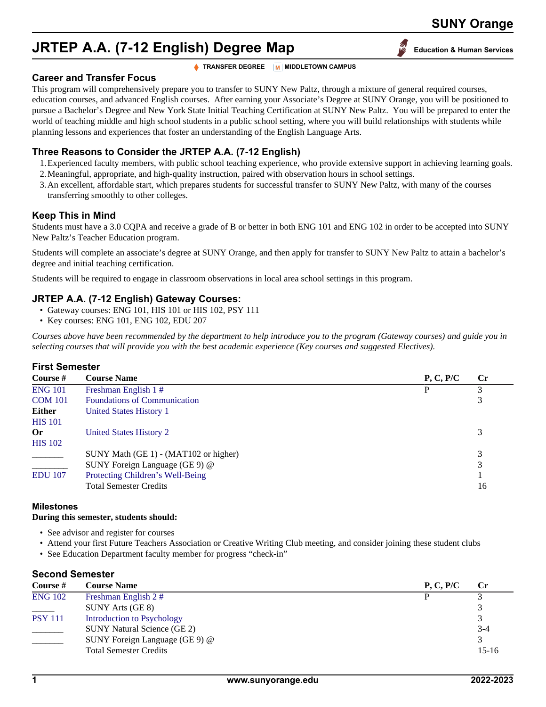# **JRTEP A.A. (7-12 English) Degree Map Education & Human Services**

**TRANSFER DEGREE M** MIDDLETOWN CAMPUS

#### **Career and Transfer Focus**

This program will comprehensively prepare you to transfer to SUNY New Paltz, through a mixture of general required courses, education courses, and advanced English courses. After earning your Associate's Degree at SUNY Orange, you will be positioned to pursue a Bachelor's Degree and New York State Initial Teaching Certification at SUNY New Paltz. You will be prepared to enter the world of teaching middle and high school students in a public school setting, where you will build relationships with students while planning lessons and experiences that foster an understanding of the English Language Arts.

## **Three Reasons to Consider the JRTEP A.A. (7-12 English)**

- 1.Experienced faculty members, with public school teaching experience, who provide extensive support in achieving learning goals.
- 2.Meaningful, appropriate, and high-quality instruction, paired with observation hours in school settings.
- 3.An excellent, affordable start, which prepares students for successful transfer to SUNY New Paltz, with many of the courses transferring smoothly to other colleges.

## **Keep This in Mind**

Students must have a 3.0 CQPA and receive a grade of B or better in both ENG 101 and ENG 102 in order to be accepted into SUNY New Paltz's Teacher Education program.

Students will complete an associate's degree at SUNY Orange, and then apply for transfer to SUNY New Paltz to attain a bachelor's degree and initial teaching certification.

Students will be required to engage in classroom observations in local area school settings in this program.

## **JRTEP A.A. (7-12 English) Gateway Courses:**

- Gateway courses: ENG 101, HIS 101 or HIS 102, PSY 111
- Key courses: ENG 101, ENG 102, EDU 207

*Courses above have been recommended by the department to help introduce you to the program (Gateway courses) and guide you in selecting courses that will provide you with the best academic experience (Key courses and suggested Electives).*

#### **First Semester**

| <b>Course Name</b>                    | P, C, P/C | $\mathbf{C}$ r |
|---------------------------------------|-----------|----------------|
| Freshman English 1#                   |           |                |
| <b>Foundations of Communication</b>   |           | 3              |
| United States History 1               |           |                |
|                                       |           |                |
| United States History 2               |           | 3              |
|                                       |           |                |
| SUNY Math (GE 1) - (MAT102 or higher) |           | 3              |
| SUNY Foreign Language (GE 9) @        |           | 3              |
| Protecting Children's Well-Being      |           |                |
| <b>Total Semester Credits</b>         |           | 16             |
|                                       |           |                |

#### **Milestones**

#### **During this semester, students should:**

- See advisor and register for courses
- Attend your first Future Teachers Association or Creative Writing Club meeting, and consider joining these student clubs
- See Education Department faculty member for progress "check-in"

#### **Second Semester**

| Course #       | <b>Course Name</b>                 | P, C, P/C | $\mathbf{C}$ r |
|----------------|------------------------------------|-----------|----------------|
| <b>ENG 102</b> | Freshman English 2#                | D         |                |
| $\sim$         | SUNY Arts (GE 8)                   |           |                |
| <b>PSY 111</b> | <b>Introduction to Psychology</b>  |           |                |
|                | <b>SUNY Natural Science (GE 2)</b> |           | $3-4$          |
|                | SUNY Foreign Language (GE 9) @     |           |                |
|                | <b>Total Semester Credits</b>      |           | $15-16$        |